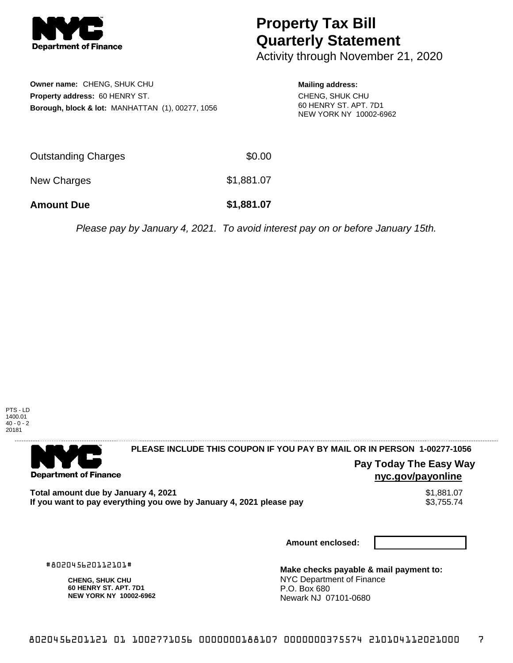

## **Property Tax Bill Quarterly Statement**

Activity through November 21, 2020

**Owner name:** CHENG, SHUK CHU **Property address:** 60 HENRY ST. **Borough, block & lot:** MANHATTAN (1), 00277, 1056

**Mailing address:** CHENG, SHUK CHU 60 HENRY ST. APT. 7D1 NEW YORK NY 10002-6962

| <b>Amount Due</b>   | \$1,881.07 |
|---------------------|------------|
| New Charges         | \$1,881.07 |
| Outstanding Charges | \$0.00     |

Please pay by January 4, 2021. To avoid interest pay on or before January 15th.



. . . . . . . . . . . . . . . .

**Department of Finance** 

**PLEASE INCLUDE THIS COUPON IF YOU PAY BY MAIL OR IN PERSON 1-00277-1056** 

**Pay Today The Easy Way nyc.gov/payonline**

**Total amount due by January 4, 2021**<br>If you want to pay everything you owe by January 4, 2021 please pay **show that the summer way.** \$3,755.74 If you want to pay everything you owe by January 4, 2021 please pay

**Amount enclosed:**

#802045620112101#

**CHENG, SHUK CHU 60 HENRY ST. APT. 7D1 NEW YORK NY 10002-6962**

**Make checks payable & mail payment to:** NYC Department of Finance P.O. Box 680 Newark NJ 07101-0680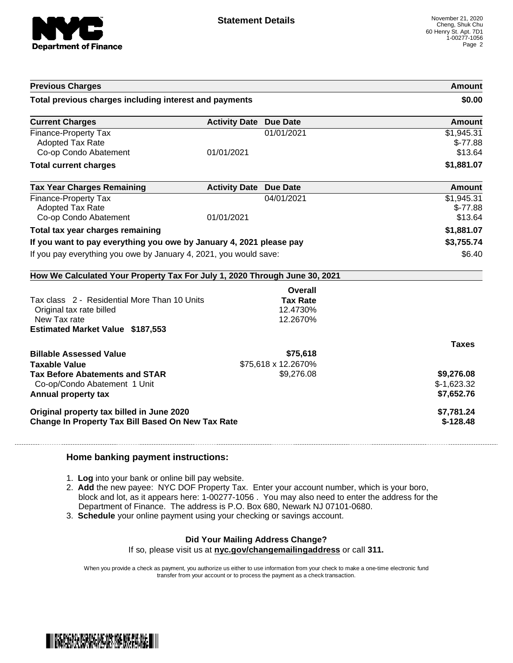

| <b>Previous Charges</b><br>Total previous charges including interest and payments |                               |                     | Amount       |  |
|-----------------------------------------------------------------------------------|-------------------------------|---------------------|--------------|--|
|                                                                                   |                               |                     | \$0.00       |  |
| <b>Current Charges</b>                                                            | <b>Activity Date Due Date</b> |                     | Amount       |  |
| Finance-Property Tax                                                              |                               | 01/01/2021          | \$1,945.31   |  |
| <b>Adopted Tax Rate</b>                                                           |                               |                     | $$-77.88$    |  |
| Co-op Condo Abatement                                                             | 01/01/2021                    |                     | \$13.64      |  |
| <b>Total current charges</b>                                                      |                               |                     | \$1,881.07   |  |
| <b>Tax Year Charges Remaining</b>                                                 | <b>Activity Date Due Date</b> |                     | Amount       |  |
| Finance-Property Tax                                                              |                               | 04/01/2021          | \$1,945.31   |  |
| <b>Adopted Tax Rate</b>                                                           |                               |                     | $$-77.88$    |  |
| Co-op Condo Abatement                                                             | 01/01/2021                    |                     | \$13.64      |  |
| Total tax year charges remaining                                                  |                               |                     | \$1,881.07   |  |
| If you want to pay everything you owe by January 4, 2021 please pay               |                               | \$3,755.74          |              |  |
| If you pay everything you owe by January 4, 2021, you would save:                 |                               |                     |              |  |
|                                                                                   |                               |                     | \$6.40       |  |
| How We Calculated Your Property Tax For July 1, 2020 Through June 30, 2021        |                               |                     |              |  |
|                                                                                   |                               | Overall             |              |  |
| Tax class 2 - Residential More Than 10 Units                                      |                               | <b>Tax Rate</b>     |              |  |
| Original tax rate billed                                                          |                               | 12.4730%            |              |  |
| New Tax rate                                                                      |                               | 12.2670%            |              |  |
| <b>Estimated Market Value \$187,553</b>                                           |                               |                     |              |  |
|                                                                                   |                               |                     | <b>Taxes</b> |  |
| <b>Billable Assessed Value</b>                                                    |                               | \$75,618            |              |  |
| <b>Taxable Value</b>                                                              |                               | \$75,618 x 12.2670% |              |  |
| <b>Tax Before Abatements and STAR</b>                                             |                               | \$9,276.08          | \$9,276.08   |  |
| Co-op/Condo Abatement 1 Unit                                                      |                               |                     | $$-1,623.32$ |  |
| Annual property tax                                                               |                               |                     | \$7,652.76   |  |
| Original property tax billed in June 2020                                         |                               |                     | \$7,781.24   |  |

## **Home banking payment instructions:**

- 1. **Log** into your bank or online bill pay website.
- 2. **Add** the new payee: NYC DOF Property Tax. Enter your account number, which is your boro, block and lot, as it appears here: 1-00277-1056 . You may also need to enter the address for the Department of Finance. The address is P.O. Box 680, Newark NJ 07101-0680.
- 3. **Schedule** your online payment using your checking or savings account.

## **Did Your Mailing Address Change?**

If so, please visit us at **nyc.gov/changemailingaddress** or call **311.**

When you provide a check as payment, you authorize us either to use information from your check to make a one-time electronic fund transfer from your account or to process the payment as a check transaction.